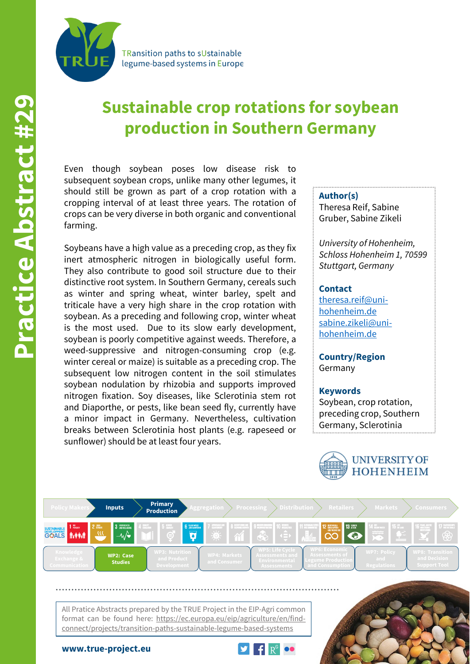

TRansition paths to sUstainable legume-based systems in Europe

# **Sustainable crop rotations for soybean production in Southern Germany**

Even though soybean poses low disease risk to subsequent soybean crops, unlike many other legumes, it should still be grown as part of a crop rotation with a cropping interval of at least three years. The rotation of crops can be very diverse in both organic and conventional farming.

Soybeans have a high value as a preceding crop, as they fix inert atmospheric nitrogen in biologically useful form. They also contribute to good soil structure due to their distinctive root system. In Southern Germany, cereals such as winter and spring wheat, winter barley, spelt and triticale have a very high share in the crop rotation with soybean. As a preceding and following crop, winter wheat is the most used. Due to its slow early development, soybean is poorly competitive against weeds. Therefore, a weed-suppressive and nitrogen-consuming crop (e.g. winter cereal or maize) is suitable as a preceding crop. The subsequent low nitrogen content in the soil stimulates soybean nodulation by rhizobia and supports improved nitrogen fixation. Soy diseases, like Sclerotinia stem rot and Diaporthe, or pests, like bean seed fly, currently have a minor impact in Germany. Nevertheless, cultivation breaks between Sclerotinia host plants (e.g. rapeseed or sunflower) should be at least four years.

#### **Author(s)**

Theresa Reif, Sabine Gruber, Sabine Zikeli

*University of Hohenheim, Schloss Hohenheim 1, 70599 Stuttgart, Germany*

### **Contact**

[theresa.reif@uni](mailto:theresa.reif@uni-hohenheim.de)hohenheim.de [sabine.zikeli@uni](mailto:sabine.zikeli@uni-hohenheim.de)hohenheim.de

**Country/Region** Germany

#### **Keywords**

Soybean, crop rotation, preceding crop, Southern Germany, Sclerotinia





All Pratice Abstracts prepared by the TRUE Project in the EIP-Agri common format can be found here: https://ec.europa.eu/eip/agriculture/en/findconnect/projects/transition-paths-sustainable-legume-based-systems

**www.true-project.eu**